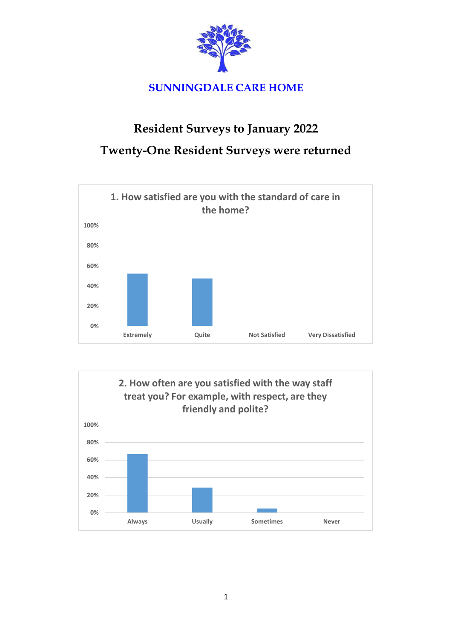

## **Resident Surveys to January 2022 Twenty-One Resident Surveys were returned**



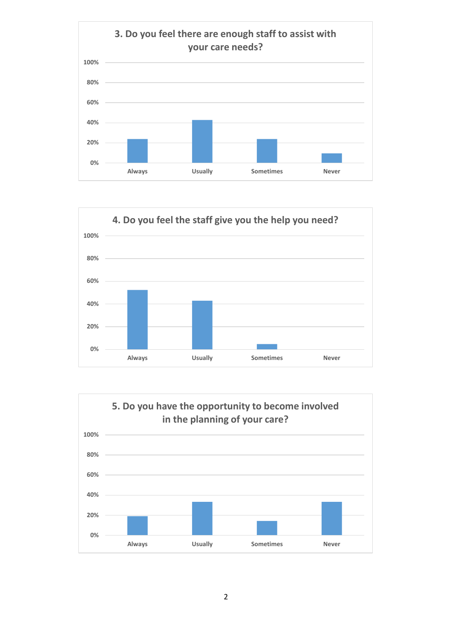



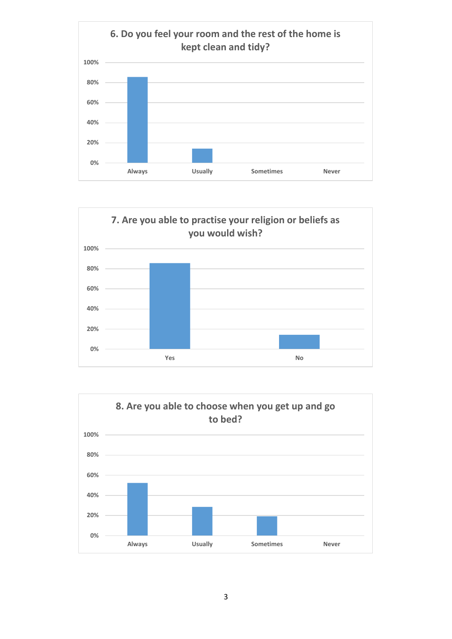



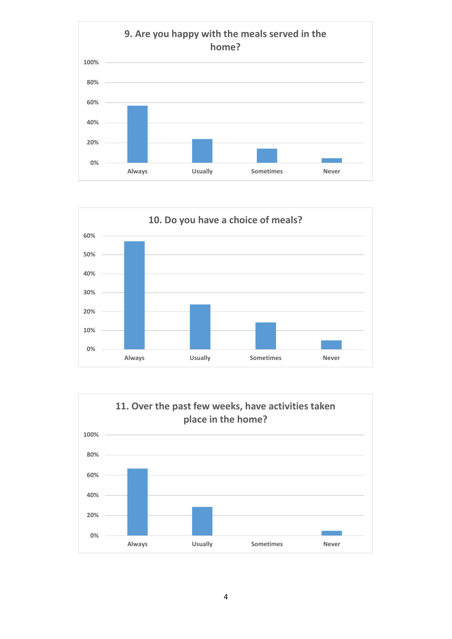



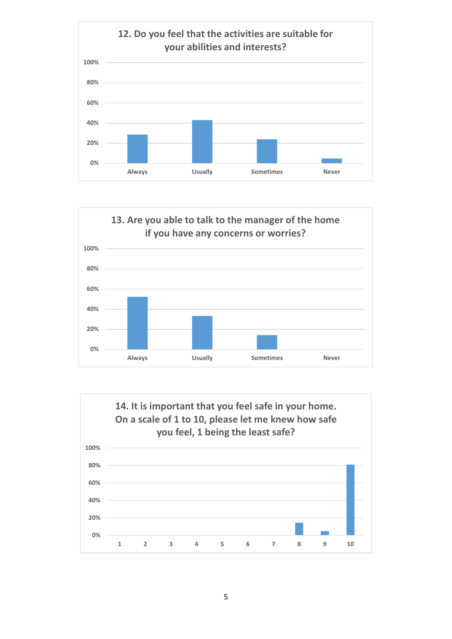



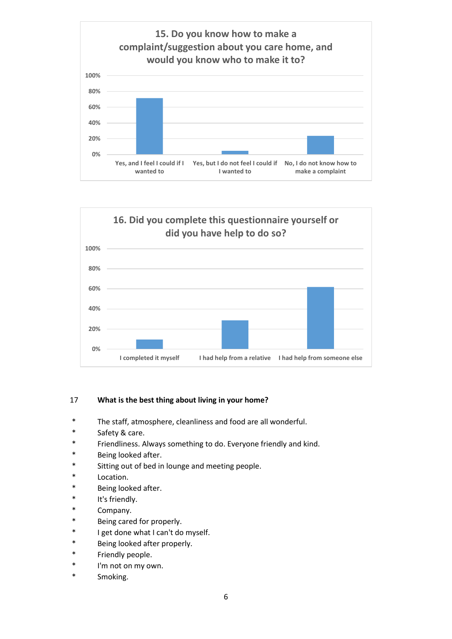



## 17 **What is the best thing about living in your home?**

- \* The staff, atmosphere, cleanliness and food are all wonderful.
- \* Safety & care.
- \* Friendliness. Always something to do. Everyone friendly and kind.
- \* Being looked after.
- \* Sitting out of bed in lounge and meeting people.
- \* Location.
- \* Being looked after.
- \* It's friendly.
- \* Company.
- \* Being cared for properly.
- \* I get done what I can't do myself.
- \* Being looked after properly.
- \* Friendly people.
- \* I'm not on my own.
- \* Smoking.